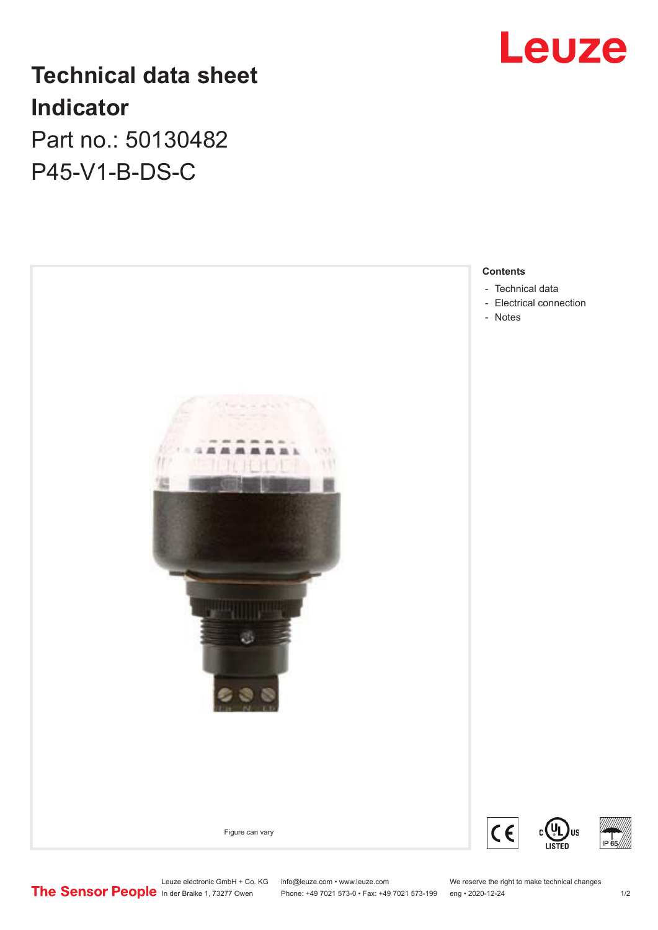

# **Technical data sheet Indicator**

Part no.: 50130482 P45-V1-B-DS-C



Leuze electronic GmbH + Co. KG info@leuze.com • www.leuze.com We reserve the right to make technical changes<br>
The Sensor People in der Braike 1, 73277 Owen Phone: +49 7021 573-0 • Fax: +49 7021 573-199 eng • 2020-12-24

Phone: +49 7021 573-0 • Fax: +49 7021 573-199 eng • 2020-12-24 1 2